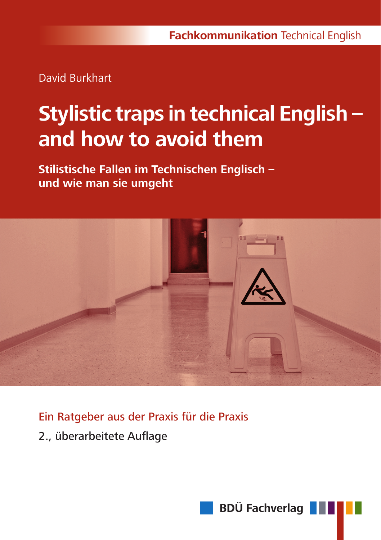David Burkhart

# **Stylistic traps in technical English – and how to avoid them**

**Stilistische Fallen im Technischen Englisch – und wie man sie umgeht**



Ein Ratgeber aus der Praxis für die Praxis

2., überarbeitete Auflage

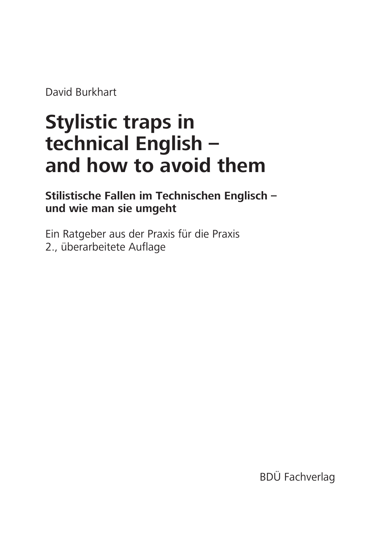David Burkhart

# **Stylistic traps in technical English – and how to avoid them**

**Stilistische Fallen im Technischen Englisch – und wie man sie umgeht** 

Ein Ratgeber aus der Praxis für die Praxis 2., überarbeitete Auflage

BDÜ Fachverlag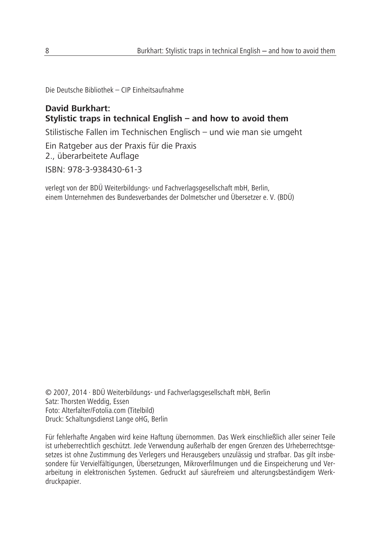Die Deutsche Bibliothek – CIP Einheitsaufnahme

#### **David Burkhart: Stylistic traps in technical English – and how to avoid them**

Stilistische Fallen im Technischen Englisch – und wie man sie umgeht

Ein Ratgeber aus der Praxis für die Praxis 2., überarbeitete Auflage

ISBN: 978-3-938430-61-3

verlegt von der BDÜ Weiterbildungs- und Fachverlagsgesellschaft mbH, Berlin, einem Unternehmen des Bundesverbandes der Dolmetscher und Übersetzer e. V. (BDÜ)

© 2007, 2014 · BDÜ Weiterbildungs- und Fachverlagsgesellschaft mbH, Berlin Satz: Thorsten Weddig, Essen Foto: Alterfalter/Fotolia.com (Titelbild) Druck: Schaltungsdienst Lange oHG, Berlin

Für fehlerhafte Angaben wird keine Haftung übernommen. Das Werk einschließlich aller seiner Teile ist urheberrechtlich geschützt. Jede Verwendung außerhalb der engen Grenzen des Urheberrechtsgesetzes ist ohne Zustimmung des Verlegers und Herausgebers unzulässig und strafbar. Das gilt insbesondere für Vervielfältigungen, Übersetzungen, Mikroverfilmungen und die Einspeicherung und Verarbeitung in elektronischen Systemen. Gedruckt auf säurefreiem und alterungsbeständigem Werkdruckpapier.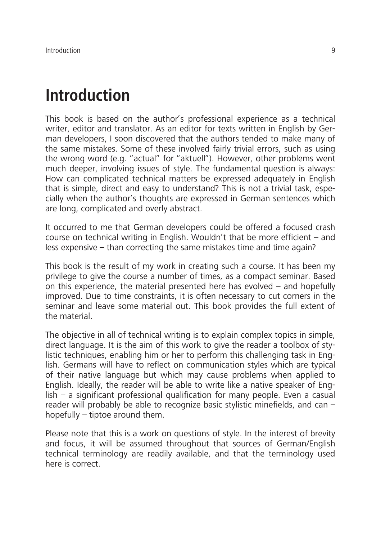### **Introduction**

This book is based on the author's professional experience as a technical writer, editor and translator. As an editor for texts written in English by German developers, I soon discovered that the authors tended to make many of the same mistakes. Some of these involved fairly trivial errors, such as using the wrong word (e.g. "actual" for "aktuell"). However, other problems went much deeper, involving issues of style. The fundamental question is always: How can complicated technical matters be expressed adequately in English that is simple, direct and easy to understand? This is not a trivial task, especially when the author's thoughts are expressed in German sentences which are long, complicated and overly abstract.

It occurred to me that German developers could be offered a focused crash course on technical writing in English. Wouldn't that be more efficient – and less expensive – than correcting the same mistakes time and time again?

This book is the result of my work in creating such a course. It has been my privilege to give the course a number of times, as a compact seminar. Based on this experience, the material presented here has evolved – and hopefully improved. Due to time constraints, it is often necessary to cut corners in the seminar and leave some material out. This book provides the full extent of the material.

The objective in all of technical writing is to explain complex topics in simple, direct language. It is the aim of this work to give the reader a toolbox of stylistic techniques, enabling him or her to perform this challenging task in English. Germans will have to reflect on communication styles which are typical of their native language but which may cause problems when applied to English. Ideally, the reader will be able to write like a native speaker of English – a significant professional qualification for many people. Even a casual reader will probably be able to recognize basic stylistic minefields, and can – hopefully – tiptoe around them.

Please note that this is a work on questions of style. In the interest of brevity and focus, it will be assumed throughout that sources of German/English technical terminology are readily available, and that the terminology used here is correct.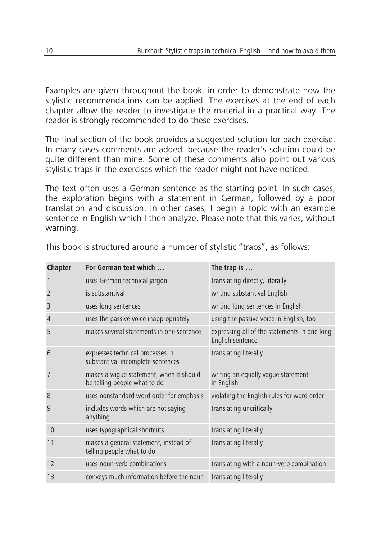Examples are given throughout the book, in order to demonstrate how the stylistic recommendations can be applied. The exercises at the end of each chapter allow the reader to investigate the material in a practical way. The reader is strongly recommended to do these exercises.

The final section of the book provides a suggested solution for each exercise. In many cases comments are added, because the reader's solution could be quite different than mine. Some of these comments also point out various stylistic traps in the exercises which the reader might not have noticed.

The text often uses a German sentence as the starting point. In such cases, the exploration begins with a statement in German, followed by a poor translation and discussion. In other cases, I begin a topic with an example sentence in English which I then analyze. Please note that this varies, without warning.

| Chapter        | For German text which                                                   | The trap is $\dots$                                              |  |
|----------------|-------------------------------------------------------------------------|------------------------------------------------------------------|--|
| 1              | uses German technical jargon                                            | translating directly, literally                                  |  |
| $\overline{2}$ | is substantival                                                         | writing substantival English                                     |  |
| 3              | uses long sentences                                                     | writing long sentences in English                                |  |
| 4              | uses the passive voice inappropriately                                  | using the passive voice in English, too                          |  |
| 5              | makes several statements in one sentence                                | expressing all of the statements in one long<br>English sentence |  |
| 6              | expresses technical processes in<br>substantival incomplete sentences   | translating literally                                            |  |
| 7              | makes a vague statement, when it should<br>be telling people what to do | writing an equally vague statement<br>in English                 |  |
| 8              | uses nonstandard word order for emphasis                                | violating the English rules for word order                       |  |
| 9              | includes words which are not saying<br>anything                         | translating uncritically                                         |  |
| 10             | uses typographical shortcuts                                            | translating literally                                            |  |
| 11             | makes a general statement, instead of<br>telling people what to do      | translating literally                                            |  |
| 12             | uses noun-verb combinations                                             | translating with a noun-verb combination                         |  |
| 13             | conveys much information before the noun                                | translating literally                                            |  |

This book is structured around a number of stylistic "traps", as follows: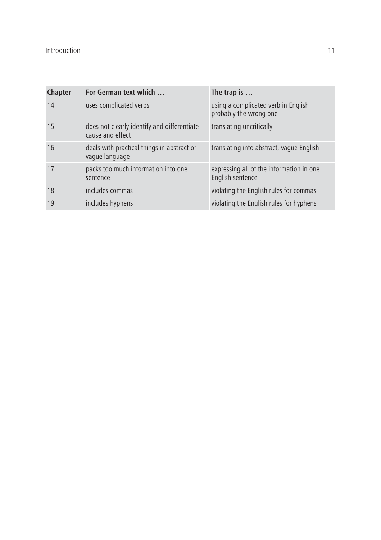| Chapter | For German text which                                           | The trap is $\dots$                                             |
|---------|-----------------------------------------------------------------|-----------------------------------------------------------------|
| 14      | uses complicated verbs                                          | using a complicated verb in English -<br>probably the wrong one |
| 15      | does not clearly identify and differentiate<br>cause and effect | translating uncritically                                        |
| 16      | deals with practical things in abstract or<br>vaque language    | translating into abstract, vague English                        |
| 17      | packs too much information into one<br>sentence                 | expressing all of the information in one<br>English sentence    |
| 18      | includes commas                                                 | violating the English rules for commas                          |
| 19      | includes hyphens                                                | violating the English rules for hyphens                         |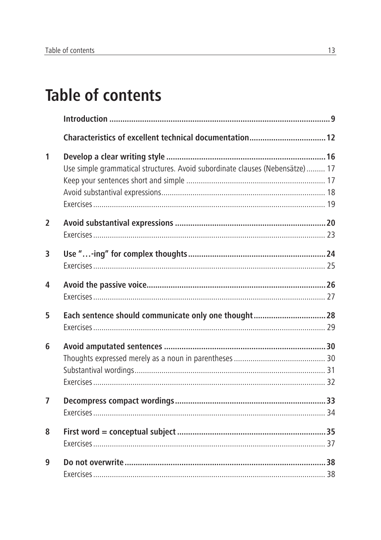## **Table of contents**

|                | Characteristics of excellent technical documentation 12                      |  |
|----------------|------------------------------------------------------------------------------|--|
| 1              |                                                                              |  |
|                | Use simple grammatical structures. Avoid subordinate clauses (Nebensätze) 17 |  |
|                |                                                                              |  |
|                |                                                                              |  |
|                |                                                                              |  |
| $\overline{2}$ |                                                                              |  |
|                |                                                                              |  |
| 3              |                                                                              |  |
|                |                                                                              |  |
| 4              |                                                                              |  |
|                |                                                                              |  |
| 5              | Each sentence should communicate only one thought 28                         |  |
|                |                                                                              |  |
| 6              |                                                                              |  |
|                |                                                                              |  |
|                |                                                                              |  |
|                |                                                                              |  |
| $\overline{7}$ |                                                                              |  |
|                |                                                                              |  |
| 8              |                                                                              |  |
|                |                                                                              |  |
| 9              |                                                                              |  |
|                |                                                                              |  |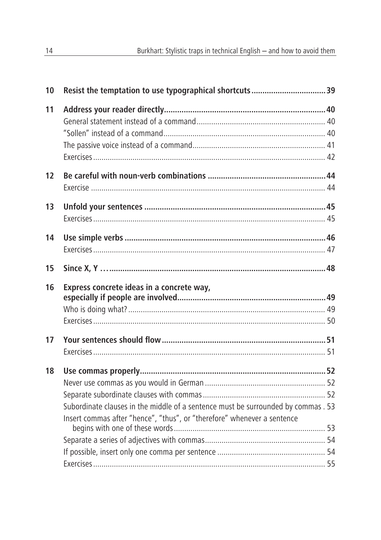| 10 |                                                                                   |  |
|----|-----------------------------------------------------------------------------------|--|
| 11 |                                                                                   |  |
|    |                                                                                   |  |
|    |                                                                                   |  |
|    |                                                                                   |  |
|    |                                                                                   |  |
| 12 |                                                                                   |  |
|    |                                                                                   |  |
| 13 |                                                                                   |  |
|    |                                                                                   |  |
| 14 |                                                                                   |  |
|    |                                                                                   |  |
| 15 |                                                                                   |  |
| 16 | Express concrete ideas in a concrete way,                                         |  |
|    |                                                                                   |  |
|    |                                                                                   |  |
|    |                                                                                   |  |
| 17 |                                                                                   |  |
|    |                                                                                   |  |
| 18 |                                                                                   |  |
|    |                                                                                   |  |
|    |                                                                                   |  |
|    | Subordinate clauses in the middle of a sentence must be surrounded by commas . 53 |  |
|    | Insert commas after "hence", "thus", or "therefore" whenever a sentence           |  |
|    |                                                                                   |  |
|    |                                                                                   |  |
|    |                                                                                   |  |
|    |                                                                                   |  |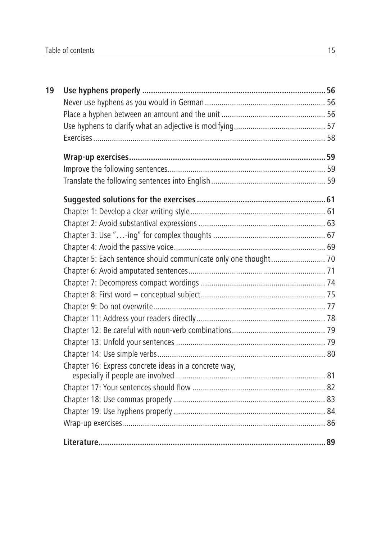| 19 |                                                                 |  |
|----|-----------------------------------------------------------------|--|
|    |                                                                 |  |
|    |                                                                 |  |
|    |                                                                 |  |
|    |                                                                 |  |
|    |                                                                 |  |
|    |                                                                 |  |
|    |                                                                 |  |
|    |                                                                 |  |
|    |                                                                 |  |
|    |                                                                 |  |
|    |                                                                 |  |
|    |                                                                 |  |
|    | Chapter 5: Each sentence should communicate only one thought 70 |  |
|    |                                                                 |  |
|    |                                                                 |  |
|    |                                                                 |  |
|    |                                                                 |  |
|    |                                                                 |  |
|    |                                                                 |  |
|    |                                                                 |  |
|    |                                                                 |  |
|    | Chapter 16: Express concrete ideas in a concrete way,           |  |
|    |                                                                 |  |
|    |                                                                 |  |
|    |                                                                 |  |
|    |                                                                 |  |
|    |                                                                 |  |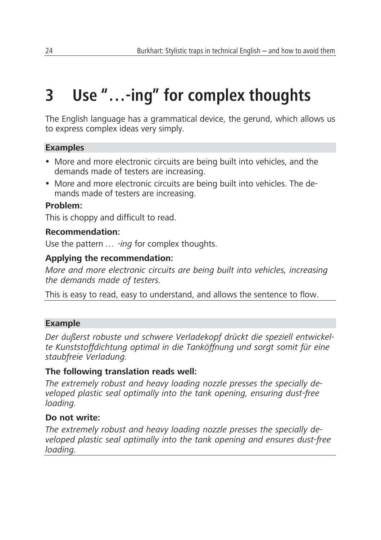## **3 Use "…-ing" for complex thoughts**

The English language has a grammatical device, the gerund, which allows us to express complex ideas very simply.

#### **Examples**

- More and more electronic circuits are being built into vehicles, and the demands made of testers are increasing.
- More and more electronic circuits are being built into vehicles. The demands made of testers are increasing.

#### **Problem:**

This is choppy and difficult to read.

#### **Recommendation:**

Use the pattern *… -ing* for complex thoughts.

#### **Applying the recommendation:**

*More and more electronic circuits are being built into vehicles, increasing the demands made of testers.*

This is easy to read, easy to understand, and allows the sentence to flow.

#### **Example**

*Der äußerst robuste und schwere Verladekopf drückt die speziell entwickelte Kunststoffdichtung optimal in die Tanköffnung und sorgt somit für eine staubfreie Verladung.* 

#### **The following translation reads well:**

*The extremely robust and heavy loading nozzle presses the specially developed plastic seal optimally into the tank opening, ensuring dust-free loading.*

#### **Do not write:**

*The extremely robust and heavy loading nozzle presses the specially developed plastic seal optimally into the tank opening and ensures dust-free loading.*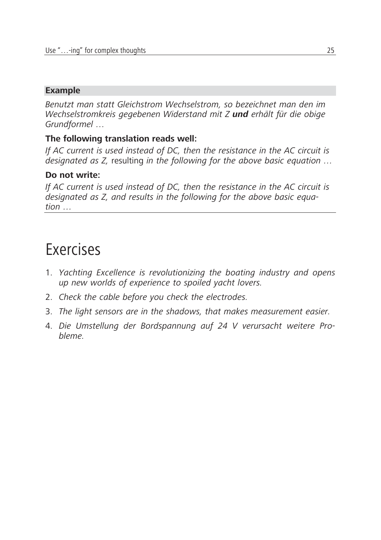#### **Example**

*Benutzt man statt Gleichstrom Wechselstrom, so bezeichnet man den im Wechselstromkreis gegebenen Widerstand mit Z und erhält für die obige Grundformel …* 

#### **The following translation reads well:**

*If AC current is used instead of DC, then the resistance in the AC circuit is designated as Z,* resulting *in the following for the above basic equation …*

#### **Do not write:**

*If AC current is used instead of DC, then the resistance in the AC circuit is designated as Z, and results in the following for the above basic equation …*

### Exercises

- 1. *Yachting Excellence is revolutionizing the boating industry and opens up new worlds of experience to spoiled yacht lovers.*
- 2. *Check the cable before you check the electrodes.*
- 3. *The light sensors are in the shadows, that makes measurement easier.*
- 4. *Die Umstellung der Bordspannung auf 24 V verursacht weitere Probleme.*